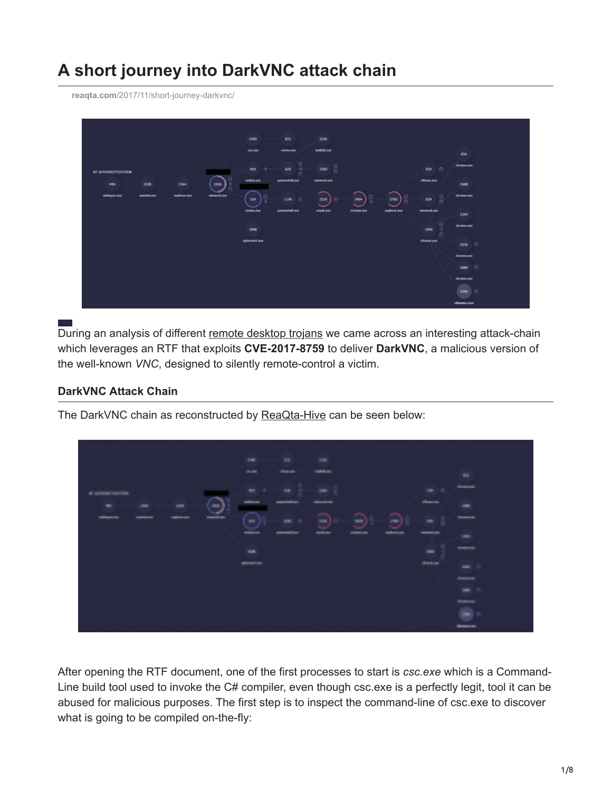# **A short journey into DarkVNC attack chain**

**reaqta.com**[/2017/11/short-journey-darkvnc/](https://reaqta.com/2017/11/short-journey-darkvnc/)



During an analysis of different [remote desktop trojans](https://twitter.com/ReaQta/status/926055917610815488) we came across an interesting attack-chain which leverages an RTF that exploits **CVE-2017-8759** to deliver **DarkVNC**, a malicious version of the well-known *VNC*, designed to silently remote-control a victim.

## **DarkVNC Attack Chain**

The DarkVNC chain as reconstructed by [ReaQta-Hive](https://upstream.rqt.io/hive/) can be seen below:



After opening the RTF document, one of the first processes to start is *csc.exe* which is a Command-Line build tool used to invoke the C# compiler, even though csc.exe is a perfectly legit, tool it can be abused for malicious purposes. The first step is to inspect the command-line of csc.exe to discover what is going to be compiled on-the-fly: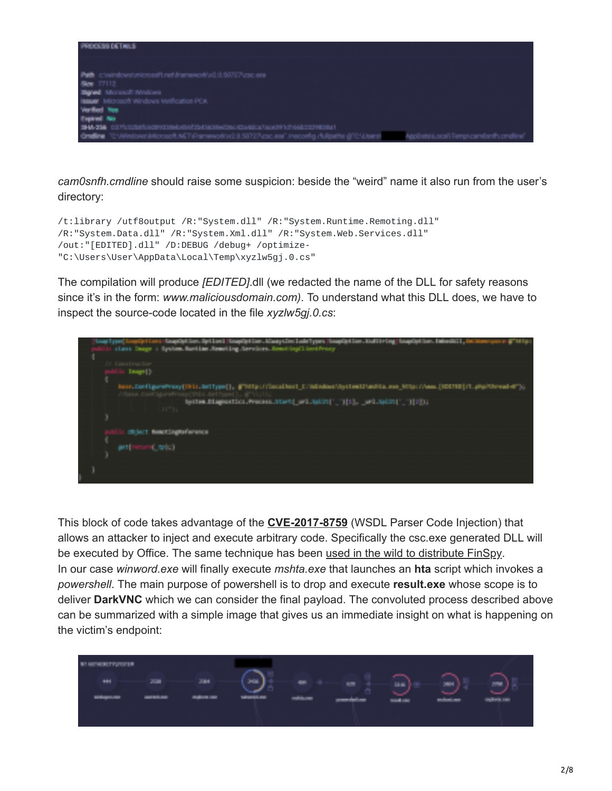

*cam0snfh.cmdline* should raise some suspicion: beside the "weird" name it also run from the user's directory:

```
/t:library /utf8output /R:"System.dll" /R:"System.Runtime.Remoting.dll"
/R:"System.Data.dll" /R:"System.Xml.dll" /R:"System.Web.Services.dll"
/out:"[EDITED].dll" /D:DEBUG /debug+ /optimize-
"C:\Users\User\AppData\Local\Temp\xyzlw5gj.0.cs"
```
The compilation will produce *[EDITED]*.dll (we redacted the name of the DLL for safety reasons since it's in the form: *www.maliciousdomain.com)*. To understand what this DLL does, we have to inspect the source-code located in the file *xyzlw5gj.0.cs*:



This block of code takes advantage of the **[CVE-2017-8759](https://cve.mitre.org/cgi-bin/cvename.cgi?name=CVE-2017-8759)** (WSDL Parser Code Injection) that allows an attacker to inject and execute arbitrary code. Specifically the csc.exe generated DLL will be executed by Office. The same technique has been [used in the wild to distribute FinSpy](https://www.fireeye.com/blog/threat-research/2017/09/zero-day-used-to-distribute-finspy.html). In our case *winword.exe* will finally execute *mshta.exe* that launches an **hta** script which invokes a *powershell*. The main purpose of powershell is to drop and execute **result.exe** whose scope is to deliver **DarkVNC** which we can consider the final payload. The convoluted process described above can be summarized with a simple image that gives us an immediate insight on what is happening on the victim's endpoint:

| <b>STATISTICS</b><br><b>HH</b><br><b>College College</b> | 2004<br>208<br>participant.<br><b>Building Card</b> | 208<br>100 Million St. | ÷.<br>making part | 48<br>propriété par | 抽座<br><b>South Card</b> | 2004<br>궤<br>mikoai ma | <b>INTER</b><br><b>Charles Card</b> |
|----------------------------------------------------------|-----------------------------------------------------|------------------------|-------------------|---------------------|-------------------------|------------------------|-------------------------------------|
|----------------------------------------------------------|-----------------------------------------------------|------------------------|-------------------|---------------------|-------------------------|------------------------|-------------------------------------|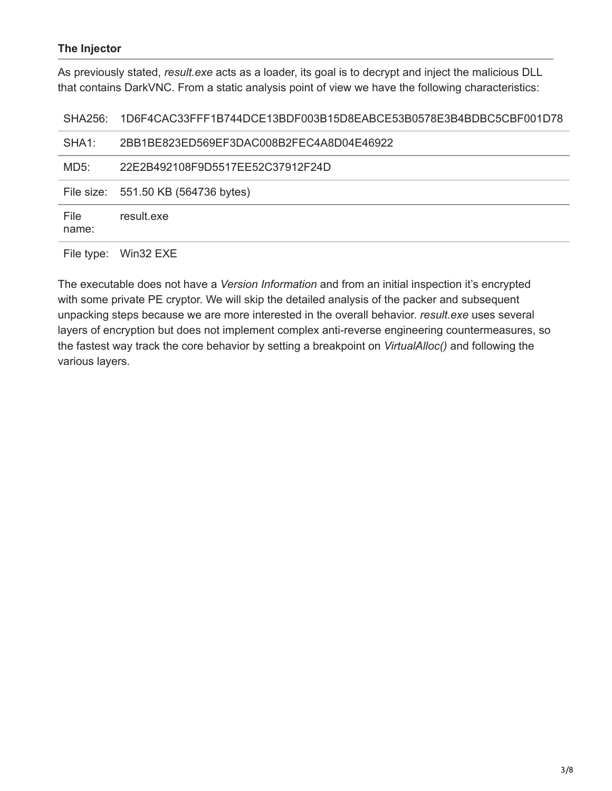### **The Injector**

As previously stated, *result.exe* acts as a loader, its goal is to decrypt and inject the malicious DLL that contains DarkVNC. From a static analysis point of view we have the following characteristics:

SHA256: 1D6F4CAC33FFF1B744DCE13BDF003B15D8EABCE53B0578E3B4BDBC5CBF001D78

| SHA1:         | 2BB1BE823ED569EF3DAC008B2FEC4A8D04E46922 |
|---------------|------------------------------------------|
| MD5:          | 22E2B492108F9D5517EE52C37912F24D         |
|               | File size: 551.50 KB (564736 bytes)      |
| File<br>name: | result exe                               |

File type: Win32 EXE

The executable does not have a *Version Information* and from an initial inspection it's encrypted with some private PE cryptor. We will skip the detailed analysis of the packer and subsequent unpacking steps because we are more interested in the overall behavior. *result.exe* uses several layers of encryption but does not implement complex anti-reverse engineering countermeasures, so the fastest way track the core behavior by setting a breakpoint on *VirtualAlloc()* and following the various layers.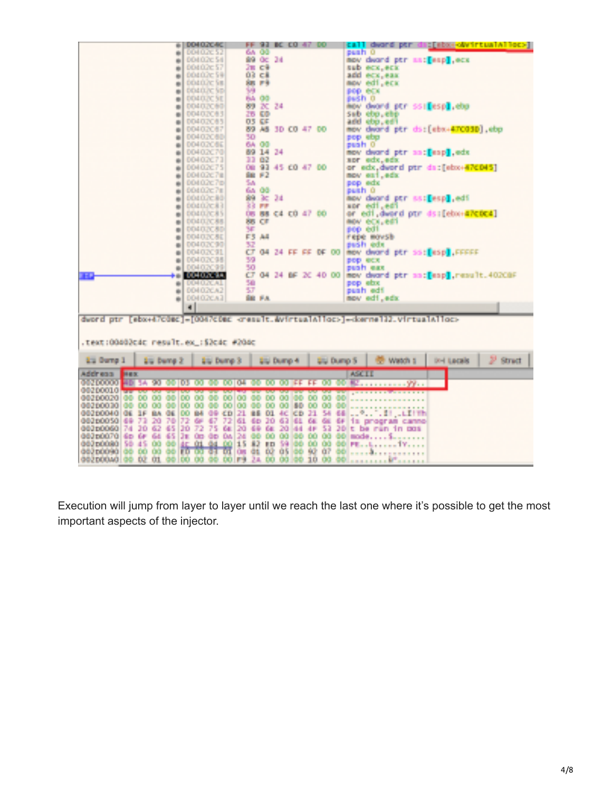|                                                     | <b>DOHO2CAC</b>                  | BC CO 47 00<br>91<br>FF.             |                                  | :[#bx+okvirtualAllec>]<br>EB 111<br>dward.<br><b>DST</b>                                                            |
|-----------------------------------------------------|----------------------------------|--------------------------------------|----------------------------------|---------------------------------------------------------------------------------------------------------------------|
| m.                                                  | DOI:020.52                       | GA 00                                |                                  | seah 0                                                                                                              |
| m.                                                  | <b>DOM D.2C 54</b>               | 89 OC 34                             |                                  | now dward ptr mat[esp], ecs                                                                                         |
| 崩                                                   | <b>DOMAIN: 57</b>                | 次数 文庫                                |                                  | <b>SED MOV, MCK</b>                                                                                                 |
| 砸                                                   | <b>DOLLUGE SHI</b>               | <b>OR CR</b>                         |                                  | <b><i><u><i><u>PCX</u></i></u></i></b> , <b>PAX</b><br><b>ACC</b>                                                   |
| ۰                                                   | DOLDAC SE                        | <b>SE F4</b>                         |                                  | edi, ecu<br><b>Ballier</b>                                                                                          |
| 崋                                                   | DOM DUYC SIDE                    | 59                                   |                                  | POD 604                                                                                                             |
| 砸                                                   | DOMESTIC ST                      | 64 99                                |                                  | push o                                                                                                              |
| 崋                                                   | 00402069                         | 89 K.<br>24                          |                                  | kov dvord ptr ssi[esp].ebp                                                                                          |
|                                                     | <b>BOLD OLL</b>                  | 26 CO                                |                                  | sub ebo,ehe                                                                                                         |
| ٠                                                   | 00402065                         | <b>03 KF</b>                         |                                  | 450.443<br>and.                                                                                                     |
| e.                                                  | 00403067                         | ACT 1                                |                                  |                                                                                                                     |
| a.                                                  |                                  | AS 30 CO 47 00                       |                                  | deard ptr ds: [ebx+470030].ebp<br><b>BOW</b>                                                                        |
| a.                                                  | DOI 02050                        | 50                                   |                                  | pop abo                                                                                                             |
| ٠                                                   | 00402060                         | 64.00                                |                                  | suah O                                                                                                              |
|                                                     | 00402070                         | 69.<br>-14<br>24                     |                                  | mov dward ptr sacFeapH.edx                                                                                          |
| ٠                                                   | 00402073                         | 33, 82                               |                                  | apr edx.edx                                                                                                         |
| m.                                                  | D0402C75                         | 08 93 45 CO 47 00                    |                                  | or edx,dword ptr dat[ebx+470045]                                                                                    |
| m.                                                  | DOI 02C7B                        | SH: F.Z.                             |                                  | nov est.edx                                                                                                         |
| üн.                                                 | 00402c76                         | 56                                   |                                  | pop edx                                                                                                             |
| 崩                                                   | <b>DOMESTIC</b>                  | 65.00                                |                                  | push O                                                                                                              |
| 砸                                                   | <b>DOLLOCK 801</b>               | 89 RB<br>24                          |                                  | mov dward ptr ss:[esp] edi                                                                                          |
| 巓                                                   | <b>DOMESTICS:</b>                | 33 FF                                |                                  | edi .edi<br><b>SEC</b>                                                                                              |
| 崋                                                   | <b>DEMILICAN</b>                 | <b>BB C4 CO 47</b><br><b>Company</b> | -669                             | or edi, dword ptr ds: [ebo+#PCDC4]                                                                                  |
| 崋                                                   | <b>DOMA Y AS</b>                 | 86 CE                                |                                  | mov ecx,edi                                                                                                         |
|                                                     | 00402080                         | 3F                                   |                                  | 900 031                                                                                                             |
| 砸                                                   |                                  | F3 A4                                |                                  |                                                                                                                     |
| ۰                                                   | 00402031                         |                                      |                                  | repe movsk                                                                                                          |
| ٠                                                   | 00402099                         | 32                                   |                                  | sush edx                                                                                                            |
| e.                                                  | <b>CONDITION</b>                 | CF 04<br>24 FF FF 9F 00              |                                  | now deard per ss: [esp] FFFFF                                                                                       |
| e.                                                  | 00402095                         | 59                                   |                                  | DOD RCX                                                                                                             |
| m                                                   | 00402099                         | 50                                   |                                  | puoli max                                                                                                           |
| HE B                                                | 00400034                         | CF 04<br>-34                         | BF 2C 40.00                      | mow deard ptr an:[eap].result.40208F                                                                                |
| m                                                   | DOMESTAL.                        | 50                                   |                                  | pop ebx                                                                                                             |
| m.                                                  | <b>DDI 02CA2</b>                 | 57                                   |                                  | push edi                                                                                                            |
| m.                                                  | <b>DOI DZCA2</b>                 | S BC<br><b>FA</b>                    |                                  | nov edi, edx                                                                                                        |
|                                                     | a).                              |                                      |                                  |                                                                                                                     |
|                                                     |                                  |                                      |                                  |                                                                                                                     |
| deord otr                                           |                                  |                                      |                                  | I di stati insula cine di postessi della condita della stati di la colore della stati in la stati di stati di stati |
|                                                     |                                  |                                      |                                  |                                                                                                                     |
|                                                     |                                  |                                      |                                  |                                                                                                                     |
| .text:00003cdc result.ex :53cdc #200c               |                                  |                                      |                                  |                                                                                                                     |
|                                                     |                                  |                                      |                                  |                                                                                                                     |
| <b>Eta Durno 1</b><br><b>Star Demp 3</b>            | <b>List Dump 3</b>               | <b>Elli</b> Dump 4                   | <b>Liu Duno S</b>                | $2$ Street<br>Watch t<br><b>Divi Locale</b>                                                                         |
|                                                     |                                  |                                      |                                  |                                                                                                                     |
| Address<br>神経区                                      |                                  |                                      |                                  | <b>ASSESS</b>                                                                                                       |
| 000100001<br>90<br>40 SA                            | <b>100 DH</b><br>103<br>œα       | 89<br>DO.<br>IFF.                    | ЮO                               | a su su su su Mari                                                                                                  |
| 00200010<br><b>REPORT FOUND</b><br><b>BURNER</b>    | <b>DOM NO</b>                    | <b>DESCRIPTION</b><br><b>STATE</b>   | <b><i><u>CONTRACTORS</u></i></b> |                                                                                                                     |
| 99<br>oor<br><b>DOO NO</b><br>œ<br>OO.<br><b>OO</b> | 00.<br>œ<br><b>CO</b><br>DD.     | 90<br>00 00<br>ю<br>œ                | œ<br>00<br>80                    |                                                                                                                     |
| <b>CO.</b><br>-00<br>68<br>002 FOO 80               | 00 00<br>00.                     | 00 00 00<br><b>CO</b><br>-00<br>80   | <b>OO</b><br>60<br>œ.            |                                                                                                                     |
| 002p004010E<br>86.<br>96.<br>35.                    | 89.<br>84.<br><b>GR CD 21 88</b> | 91.<br>40. I<br><b>KD</b>            | 21<br>24.<br>48                  |                                                                                                                     |
| <b>DO050</b><br>48<br>73.<br>20<br>78<br>882        | 72<br>47<br>o.<br>72             | 61<br>30<br>63<br>Æ.<br>60           | ĐΕ.<br>GH.<br>66                 | a a <sup>ga</sup> ara<br>n di Judith                                                                                |
|                                                     | 72                               |                                      |                                  | 18.<br>proof as canno                                                                                               |
| 30 62<br>45<br>680 pórt 68<br>74.                   | 30<br>75<br>Øв.                  | 20<br>20<br>44<br>GE.<br>- 44        | 48<br>53<br>36                   | ۳.<br>10.008<br><b>Dett</b>                                                                                         |
| 000 pOO70<br>60 GF<br>64.<br>45.                    | 28.<br>On do<br>96               | 124.<br>66<br>00 00<br>66            | œ.<br>99.<br>-99                 |                                                                                                                     |
| œ<br>59.<br>45.<br>-99<br>083 DOG83                 | 01 04<br>00 15<br>虹              | 82<br>-59<br>œ.<br><b>ID</b>         | 60.<br>-99.<br>-901              | PE.                                                                                                                 |
| 188-60.<br>89<br>88.<br>663 DODGED                  | м<br><b>TO BUTCH!</b>            | 46<br>Đ.<br>05<br>88<br>OR.          | 92<br><b>A7</b><br>88            |                                                                                                                     |
| 992D00A0 09 02<br>81<br>GG 100                      | 00 00 F9<br>89.                  | 00 00<br>24.<br>100                  | 10 00<br>90                      | anna cean B <sup>a</sup><br><b>BALLAR</b>                                                                           |

Execution will jump from layer to layer until we reach the last one where it's possible to get the most important aspects of the injector.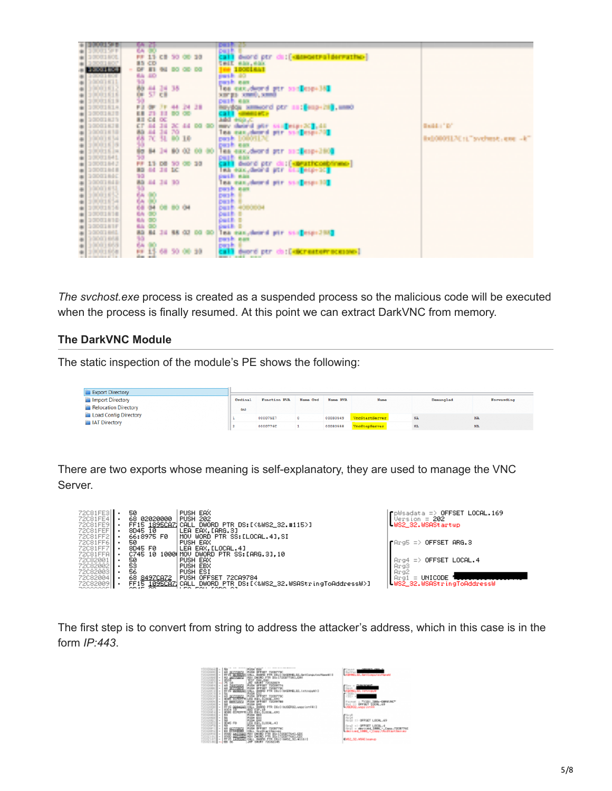|     | <b>PROURER</b>    |     | 64 E)        |           |               |              |     | <b>ISBN 978</b>                                                              |                                    |
|-----|-------------------|-----|--------------|-----------|---------------|--------------|-----|------------------------------------------------------------------------------|------------------------------------|
| m   | <b>TOO STE</b>    | ç,  |              |           |               |              |     | kaut:                                                                        |                                    |
|     | 10001101          |     |              | <b>CB</b> |               | 50.00        |     |                                                                              |                                    |
|     | 10001107          |     | <b>15,00</b> |           |               |              |     | deord ptr du: [ <mark>caseostrolderrathe</mark> ]<br>sin, eas<br><b>SHIP</b> |                                    |
|     |                   |     |              | de l      |               |              |     |                                                                              |                                    |
|     | <b>PROVIDE</b>    | e.  |              |           |               |              |     | 1900 Bldg                                                                    |                                    |
|     | <b>Province</b>   |     | <b>SP</b>    |           |               |              |     | part in 180                                                                  |                                    |
| ٠   | 10001111          | 90  |              |           |               |              |     | pash can                                                                     |                                    |
| ÷.  | 10001012          | 防约  |              | 풍용        | 36            |              |     | les excident per noticies 361                                                |                                    |
| œ.  | 10001616          |     |              |           |               |              |     |                                                                              |                                    |
| ù.  | 10001619          |     |              |           |               |              |     | surge small, small<br>pasti nas                                              |                                    |
|     | 10001814          | P B |              |           |               | 24           | 48  |                                                                              |                                    |
| ш   | 10001111          |     |              |           |               |              |     | navyšou sameord ptr as: (enp+ht), unno<br>CB11 sameords                      |                                    |
| 庫   | <b>SOPOSIBITY</b> |     |              |           |               |              |     | Supple Disk                                                                  |                                    |
| ٠   | 10001878          |     |              |           |               | <b>DC 44</b> |     | ney deard per scoleces 201, 44                                               | <b>SALE OF</b>                     |
| 删   | 10001118          |     |              | 38        | 70            |              |     | les excidente per son español                                                |                                    |
| ÷.  | <b>POOL FILE</b>  | 髋   | ᄴ            | 50.       |               | 90.10        |     | pank 10003120                                                                | itel/00011.7C+1." sychiat, exe -k" |
| ٠   | 10001619          | 抄   |              |           |               |              |     | peak ees                                                                     |                                    |
|     | 10001514          | ÷   | <b>B</b>     | m         | <b>The St</b> | 92           |     | ina essideord per sid espedito                                               |                                    |
|     | 10001841          | 39  |              |           |               |              |     |                                                                              |                                    |
| 191 |                   |     |              |           |               |              |     | <b>Page and</b>                                                              |                                    |
| ш   | 10001843          |     |              | 38, 30,   |               | 08 10        |     | describing on the property complement.                                       |                                    |
| m   | 10001818          | 32  | 44.          |           |               |              |     | exc, deal of per little expect.<br><b>TELE</b>                               |                                    |
| a.  | <b>SODO LIBEC</b> | 10  |              |           |               |              |     | partiti nais                                                                 |                                    |
|     | 10001848          | 横   | 44           | 38        | <b>TO</b>     |              |     |                                                                              |                                    |
|     | 10001691          | 詩にな |              |           |               |              |     | les excluent per societation                                                 |                                    |
| ff. | 10001652          |     | B            |           |               |              |     | past.                                                                        |                                    |
| œ.  | 10001554          |     |              |           |               |              |     | best.                                                                        |                                    |
| a)  | 10001614          |     | П            |           | 08-80-04      |              |     | <b>Destin 4000004</b>                                                        |                                    |
| m   | 10001816          | 66  | 92           |           |               |              |     | <b>Daith B</b>                                                               |                                    |
|     | 10001110          | 64  |              |           |               |              |     | buith o                                                                      |                                    |
| m   | <b>TO MAIN IN</b> | 66  |              |           |               |              |     | <b>Darch B</b>                                                               |                                    |
| ٠   | 10001011          | а×, | 84           |           |               | 44, 64       |     | les exclused pir sta <mark>r</mark> espicito                                 |                                    |
|     | 10001868          | Đ   |              |           |               |              |     | pash ass                                                                     |                                    |
| ٠   | 0001959           | 6h  | m            |           |               |              |     | pagin.                                                                       |                                    |
|     |                   |     | в            | 强         |               | 50.00        | -39 | call) deord per do: DelcreateProcesses                                       |                                    |
|     | 120001001         |     | 변 보          |           |               |              |     | <b>Service Constitution Constitution</b>                                     |                                    |

*The svchost.exe* process is created as a suspended process so the malicious code will be executed when the process is finally resumed. At this point we can extract DarkVNC from memory.

#### **The DarkVNC Module**

The static inspection of the module's PE shows the following:

| <b>Export Directory</b>     |         |              |          |          |                       |           |            |
|-----------------------------|---------|--------------|----------|----------|-----------------------|-----------|------------|
| Import Directory            | Ordinal | Function RVA | Name Ord | Name RVA | Name                  | Demangled | Forwarding |
| <b>Relocation Directory</b> | (n)     |              |          |          |                       |           |            |
| Load Config Directory       |         | 000075E7     |          | 00030549 | <b>VncStartServer</b> | NA        | NA         |
| <b>IAT Directory</b>        |         | 0000776C     |          | 00030558 | <b>VncStopServer</b>  | NA        | NA         |

There are two exports whose meaning is self-explanatory, they are used to manage the VNC Server.

| 72C81FE3<br>72C81FE4 | 50<br>02020000                | PUSH EAX<br><b>PUSH 202</b>                               | pWsac            |
|----------------------|-------------------------------|-----------------------------------------------------------|------------------|
| 72C81FE9             | 68.<br>FF15 1895CAZ1<br>CALL  | DWORD PTR DS: [<&WS2_32.#115>]                            | Jersi<br>$-WS22$ |
| 72081FEF)            | 8D45 10                       | LEA EAX.[ARG.3]                                           |                  |
| 72C81FF2             | 66:8975 F0                    | MOV WORD PTR SS:[LOCAL.4].SI                              |                  |
| 72C81FF6             | 50                            | PUSH EAX                                                  | ∎Arg5            |
| 72081FF7             | 8D45 FØ                       | LEA EAX.[LOCAL.4]                                         |                  |
| 72C81FFAI            | 10001 MOV<br>C745 10          | DWORD PTR SS:[ARG.3].10                                   |                  |
| 72082001             | 50                            | PUSH EAX                                                  |                  |
| 720820021            | 53                            | PUSH EBX                                                  | Arg3             |
| 72082003             | 56                            | PUSH ESI                                                  | Arg2             |
| 720820041            | 8497CA72<br><b>PUSH</b><br>68 | 72CA9784<br><b>OFFSET</b>                                 | Arg1             |
| 720820091            | FF15                          | 1095CAZICALL DWORD PTR DS:[<&WS2_32.WSAStringToAddressW>] | -WS2_3           |



The first step is to convert from string to address the attacker's address, which in this case is in the form *IP:443*.

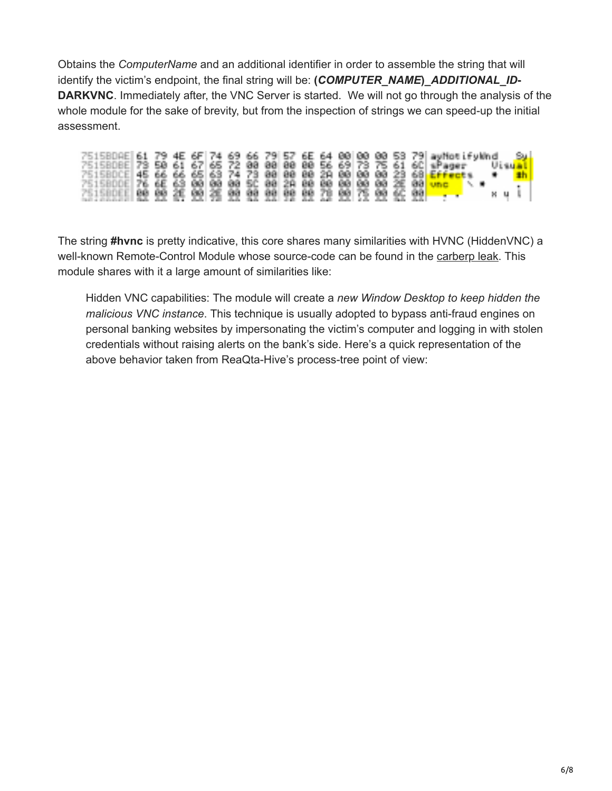Obtains the *ComputerName* and an additional identifier in order to assemble the string that will identify the victim's endpoint, the final string will be: **(***COMPUTER\_NAME***)\_***ADDITIONAL\_ID***-DARKVNC**. Immediately after, the VNC Server is started. We will not go through the analysis of the whole module for the sake of brevity, but from the inspection of strings we can speed-up the initial assessment.

| 751580AE 61 79 4E 6F 74 69 66 79 57 6E 64 88 88 88 53 79 ay hot ify that |  |  |  |  |  |  |  |  |  |                         | - 1924." |  |
|--------------------------------------------------------------------------|--|--|--|--|--|--|--|--|--|-------------------------|----------|--|
| 7515808E 73 50 61 67 65 72 00 00 00 00 56 69 73 75 61 60 aPager          |  |  |  |  |  |  |  |  |  | – Uisu <mark>al⊾</mark> |          |  |
| 751580CE 45 66 66 65 63 74 73 88 88 88 29 88 88 88 23 68 Effects         |  |  |  |  |  |  |  |  |  |                         |          |  |
| 2515800E 76 6E 63 00 00 00 5C 00 2A 00 00 00 00 00 2E 00 ung             |  |  |  |  |  |  |  |  |  |                         |          |  |
|                                                                          |  |  |  |  |  |  |  |  |  | . N. U. U               |          |  |
| 251500000 99 99 26 99 26 99 99 99 99 99 29 99 25 99 90 90 90 100         |  |  |  |  |  |  |  |  |  |                         |          |  |

The string **#hvnc** is pretty indicative, this core shares many similarities with HVNC (HiddenVNC) a well-known Remote-Control Module whose source-code can be found in the [carberp leak.](https://github.com/hzeroo/Carberp/tree/6d449afaa5fd0d0935255d2fac7c7f6689e8486b/source%20-%20absource/pro/all%20source/RemoteCtl/hvnc) This module shares with it a large amount of similarities like:

Hidden VNC capabilities: The module will create a *new Window Desktop to keep hidden the malicious VNC instance*. This technique is usually adopted to bypass anti-fraud engines on personal banking websites by impersonating the victim's computer and logging in with stolen credentials without raising alerts on the bank's side. Here's a quick representation of the above behavior taken from ReaQta-Hive's process-tree point of view: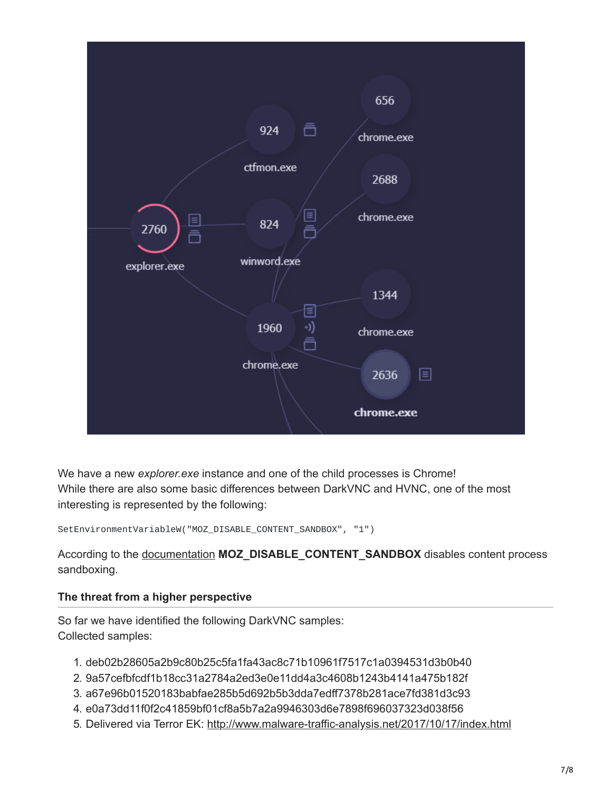

We have a new *explorer.exe* instance and one of the child processes is Chrome! While there are also some basic differences between DarkVNC and HVNC, one of the most interesting is represented by the following:

SetEnvironmentVariableW("MOZ\_DISABLE\_CONTENT\_SANDBOX", "1")

According to the [documentation](https://wiki.mozilla.org/Security/Sandbox) **MOZ\_DISABLE\_CONTENT\_SANDBOX** disables content process sandboxing.

## **The threat from a higher perspective**

So far we have identified the following DarkVNC samples: Collected samples:

- 1. deb02b28605a2b9c80b25c5fa1fa43ac8c71b10961f7517c1a0394531d3b0b40
- 2. 9a57cefbfcdf1b18cc31a2784a2ed3e0e11dd4a3c4608b1243b4141a475b182f
- 3. a67e96b01520183babfae285b5d692b5b3dda7edff7378b281ace7fd381d3c93
- 4. e0a73dd11f0f2c41859bf01cf8a5b7a2a9946303d6e7898f696037323d038f56
- 5. Delivered via Terror EK:<http://www.malware-traffic-analysis.net/2017/10/17/index.html>